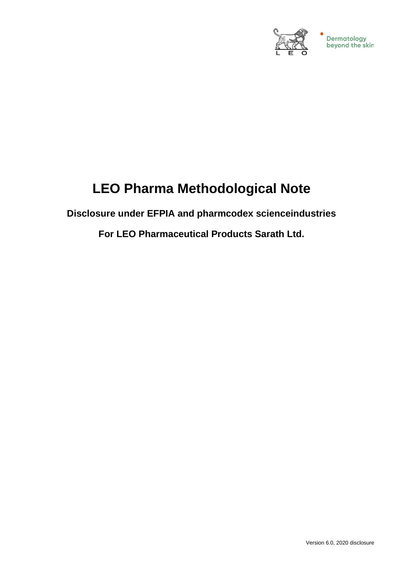

# **LEO Pharma Methodological Note**

**Disclosure under EFPIA and pharmcodex scienceindustries**

**For LEO Pharmaceutical Products Sarath Ltd.**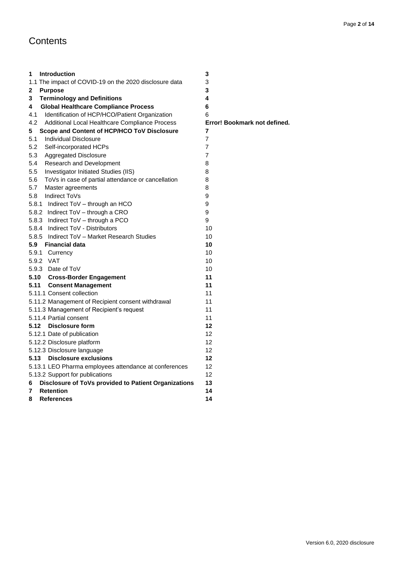# **Contents**

| 1<br><b>Introduction</b>                                  | 3                            |
|-----------------------------------------------------------|------------------------------|
| 1.1 The impact of COVID-19 on the 2020 disclosure data    | 3                            |
| <b>Purpose</b><br>2                                       | 3                            |
| 3<br><b>Terminology and Definitions</b>                   | 4                            |
| 4<br><b>Global Healthcare Compliance Process</b>          | 6                            |
| 4.1<br>Identification of HCP/HCO/Patient Organization     | 6                            |
| 4.2<br>Additional Local Healthcare Compliance Process     | Error! Bookmark not defined. |
| 5<br>Scope and Content of HCP/HCO ToV Disclosure          | 7                            |
| 5.1<br>Individual Disclosure                              | $\overline{7}$               |
| 5.2<br>Self-incorporated HCPs                             | $\overline{7}$               |
| 5.3<br>Aggregated Disclosure                              | $\overline{7}$               |
| Research and Development<br>5.4                           | 8                            |
| 5.5<br>Investigator Initiated Studies (IIS)               | 8                            |
| 5.6<br>ToVs in case of partial attendance or cancellation | 8                            |
| 5.7<br>Master agreements                                  | 8                            |
| 5.8<br>Indirect ToVs                                      | 9                            |
| 5.8.1 Indirect ToV - through an HCO                       | 9                            |
| 5.8.2 Indirect ToV - through a CRO                        | 9                            |
| 5.8.3 Indirect ToV - through a PCO                        | 9                            |
| 5.8.4 Indirect ToV - Distributors                         | 10                           |
| 5.8.5 Indirect ToV - Market Research Studies              | 10                           |
| 5.9<br><b>Financial data</b>                              | 10                           |
| 5.9.1 Currency                                            | 10                           |
| 5.9.2 VAT                                                 | 10                           |
| 5.9.3 Date of ToV                                         | 10                           |
| 5.10 Cross-Border Engagement                              | 11                           |
| 5.11<br><b>Consent Management</b>                         | 11                           |
| 5.11.1 Consent collection                                 | 11                           |
| 5.11.2 Management of Recipient consent withdrawal         | 11                           |
| 5.11.3 Management of Recipient's request                  | 11                           |
| 5.11.4 Partial consent                                    | 11                           |
| <b>Disclosure form</b><br>5.12                            | $12 \,$                      |
| 5.12.1 Date of publication                                | $12 \overline{ }$            |
| 5.12.2 Disclosure platform                                | 12                           |
| 5.12.3 Disclosure language                                | 12                           |
| <b>Disclosure exclusions</b><br>5.13                      | 12                           |
| 5.13.1 LEO Pharma employees attendance at conferences     | 12                           |
| 5.13.2 Support for publications                           | 12                           |
| Disclosure of ToVs provided to Patient Organizations<br>6 | 13                           |
| <b>Retention</b><br>7                                     | 14                           |
| 8<br><b>References</b>                                    | 14                           |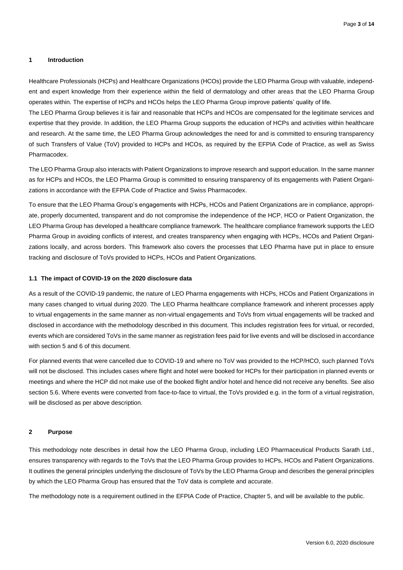#### <span id="page-2-0"></span>**1 Introduction**

Healthcare Professionals (HCPs) and Healthcare Organizations (HCOs) provide the LEO Pharma Group with valuable, independent and expert knowledge from their experience within the field of dermatology and other areas that the LEO Pharma Group operates within. The expertise of HCPs and HCOs helps the LEO Pharma Group improve patients' quality of life.

The LEO Pharma Group believes it is fair and reasonable that HCPs and HCOs are compensated for the legitimate services and expertise that they provide. In addition, the LEO Pharma Group supports the education of HCPs and activities within healthcare and research. At the same time, the LEO Pharma Group acknowledges the need for and is committed to ensuring transparency of such Transfers of Value (ToV) provided to HCPs and HCOs, as required by the EFPIA Code of Practice, as well as Swiss **Pharmacodex.** 

The LEO Pharma Group also interacts with Patient Organizations to improve research and support education. In the same manner as for HCPs and HCOs, the LEO Pharma Group is committed to ensuring transparency of its engagements with Patient Organizations in accordance with the EFPIA Code of Practice and Swiss Pharmacodex.

To ensure that the LEO Pharma Group's engagements with HCPs, HCOs and Patient Organizations are in compliance, appropriate, properly documented, transparent and do not compromise the independence of the HCP, HCO or Patient Organization, the LEO Pharma Group has developed a healthcare compliance framework. The healthcare compliance framework supports the LEO Pharma Group in avoiding conflicts of interest, and creates transparency when engaging with HCPs, HCOs and Patient Organizations locally, and across borders. This framework also covers the processes that LEO Pharma have put in place to ensure tracking and disclosure of ToVs provided to HCPs, HCOs and Patient Organizations.

#### <span id="page-2-1"></span>**1.1 The impact of COVID-19 on the 2020 disclosure data**

As a result of the COVID-19 pandemic, the nature of LEO Pharma engagements with HCPs, HCOs and Patient Organizations in many cases changed to virtual during 2020. The LEO Pharma healthcare compliance framework and inherent processes apply to virtual engagements in the same manner as non-virtual engagements and ToVs from virtual engagements will be tracked and disclosed in accordance with the methodology described in this document. This includes registration fees for virtual, or recorded, events which are considered ToVs in the same manner as registration fees paid for live events and will be disclosed in accordance with section 5 and 6 of this document.

For planned events that were cancelled due to COVID-19 and where no ToV was provided to the HCP/HCO, such planned ToVs will not be disclosed. This includes cases where flight and hotel were booked for HCPs for their participation in planned events or meetings and where the HCP did not make use of the booked flight and/or hotel and hence did not receive any benefits. See also section 5.6. Where events were converted from face-to-face to virtual, the ToVs provided e.g. in the form of a virtual registration, will be disclosed as per above description.

#### <span id="page-2-2"></span>**2 Purpose**

This methodology note describes in detail how the LEO Pharma Group, including LEO Pharmaceutical Products Sarath Ltd., ensures transparency with regards to the ToVs that the LEO Pharma Group provides to HCPs, HCOs and Patient Organizations. It outlines the general principles underlying the disclosure of ToVs by the LEO Pharma Group and describes the general principles by which the LEO Pharma Group has ensured that the ToV data is complete and accurate.

The methodology note is a requirement outlined in the EFPIA Code of Practice, Chapter 5, and will be available to the public.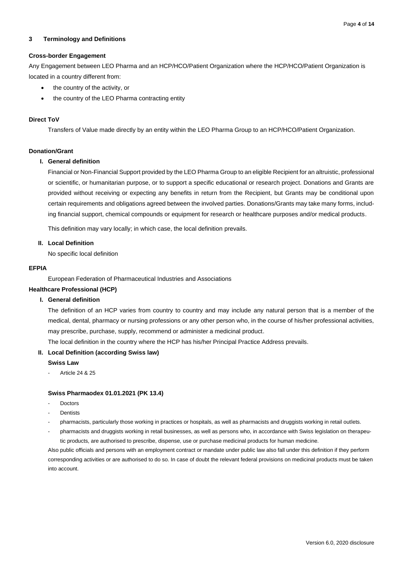# <span id="page-3-0"></span>**3 Terminology and Definitions**

# **Cross-border Engagement**

Any Engagement between LEO Pharma and an HCP/HCO/Patient Organization where the HCP/HCO/Patient Organization is located in a country different from:

- the country of the activity, or
- the country of the LEO Pharma contracting entity

# **Direct ToV**

Transfers of Value made directly by an entity within the LEO Pharma Group to an HCP/HCO/Patient Organization.

# **Donation/Grant**

# **I. General definition**

Financial or Non-Financial Support provided by the LEO Pharma Group to an eligible Recipient for an altruistic, professional or scientific, or humanitarian purpose, or to support a specific educational or research project. Donations and Grants are provided without receiving or expecting any benefits in return from the Recipient, but Grants may be conditional upon certain requirements and obligations agreed between the involved parties. Donations/Grants may take many forms, including financial support, chemical compounds or equipment for research or healthcare purposes and/or medical products.

This definition may vary locally; in which case, the local definition prevails.

**II. Local Definition**

No specific local definition

# **EFPIA**

European Federation of Pharmaceutical Industries and Associations

#### **Healthcare Professional (HCP)**

#### **I. General definition**

The definition of an HCP varies from country to country and may include any natural person that is a member of the medical, dental, pharmacy or nursing professions or any other person who, in the course of his/her professional activities, may prescribe, purchase, supply, recommend or administer a medicinal product.

The local definition in the country where the HCP has his/her Principal Practice Address prevails.

#### **II. Local Definition (according Swiss law)**

#### **Swiss Law**

- Article 24 & 25

#### **Swiss Pharmaodex 01.01.2021 (PK 13.4)**

- **Doctors**
- **Dentists**
- pharmacists, particularly those working in practices or hospitals, as well as pharmacists and druggists working in retail outlets.
- pharmacists and druggists working in retail businesses, as well as persons who, in accordance with Swiss legislation on therapeutic products, are authorised to prescribe, dispense, use or purchase medicinal products for human medicine.

Also public officials and persons with an employment contract or mandate under public law also fall under this definition if they perform corresponding activities or are authorised to do so. In case of doubt the relevant federal provisions on medicinal products must be taken into account.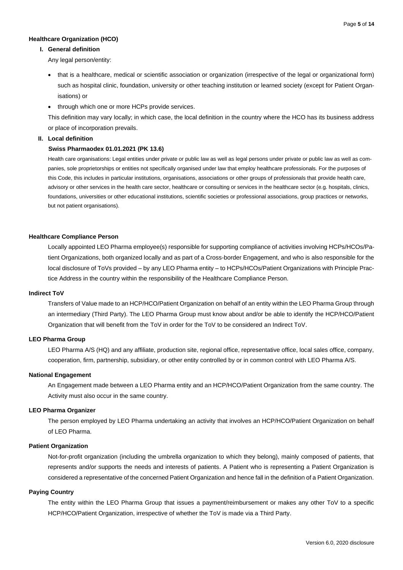# **Healthcare Organization (HCO)**

#### **I. General definition**

Any legal person/entity:

- that is a healthcare, medical or scientific association or organization (irrespective of the legal or organizational form) such as hospital clinic, foundation, university or other teaching institution or learned society (except for Patient Organisations) or
- through which one or more HCPs provide services.

This definition may vary locally; in which case, the local definition in the country where the HCO has its business address or place of incorporation prevails.

# **II. Local definition**

#### **Swiss Pharmaodex 01.01.2021 (PK 13.6)**

Health care organisations: Legal entities under private or public law as well as legal persons under private or public law as well as companies, sole proprietorships or entities not specifically organised under law that employ healthcare professionals. For the purposes of this Code, this includes in particular institutions, organisations, associations or other groups of professionals that provide health care, advisory or other services in the health care sector, healthcare or consulting or services in the healthcare sector (e.g. hospitals, clinics, foundations, universities or other educational institutions, scientific societies or professional associations, group practices or networks, but not patient organisations).

#### **Healthcare Compliance Person**

Locally appointed LEO Pharma employee(s) responsible for supporting compliance of activities involving HCPs/HCOs/Patient Organizations, both organized locally and as part of a Cross-border Engagement, and who is also responsible for the local disclosure of ToVs provided – by any LEO Pharma entity – to HCPs/HCOs/Patient Organizations with Principle Practice Address in the country within the responsibility of the Healthcare Compliance Person.

# **Indirect ToV**

Transfers of Value made to an HCP/HCO/Patient Organization on behalf of an entity within the LEO Pharma Group through an intermediary (Third Party). The LEO Pharma Group must know about and/or be able to identify the HCP/HCO/Patient Organization that will benefit from the ToV in order for the ToV to be considered an Indirect ToV.

#### **LEO Pharma Group**

LEO Pharma A/S (HQ) and any affiliate, production site, regional office, representative office, local sales office, company, cooperation, firm, partnership, subsidiary, or other entity controlled by or in common control with LEO Pharma A/S.

#### **National Engagement**

An Engagement made between a LEO Pharma entity and an HCP/HCO/Patient Organization from the same country. The Activity must also occur in the same country.

# **LEO Pharma Organizer**

The person employed by LEO Pharma undertaking an activity that involves an HCP/HCO/Patient Organization on behalf of LEO Pharma.

# **Patient Organization**

Not-for-profit organization (including the umbrella organization to which they belong), mainly composed of patients, that represents and/or supports the needs and interests of patients. A Patient who is representing a Patient Organization is considered a representative of the concerned Patient Organization and hence fall in the definition of a Patient Organization.

# **Paying Country**

The entity within the LEO Pharma Group that issues a payment/reimbursement or makes any other ToV to a specific HCP/HCO/Patient Organization, irrespective of whether the ToV is made via a Third Party.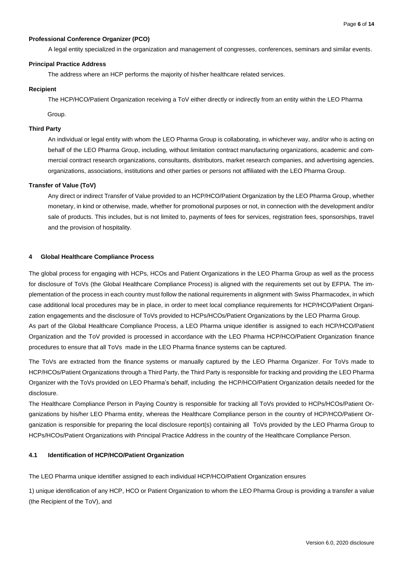# **Professional Conference Organizer (PCO)**

A legal entity specialized in the organization and management of congresses, conferences, seminars and similar events.

# **Principal Practice Address**

The address where an HCP performs the majority of his/her healthcare related services.

#### **Recipient**

The HCP/HCO/Patient Organization receiving a ToV either directly or indirectly from an entity within the LEO Pharma

Group.

#### **Third Party**

An individual or legal entity with whom the LEO Pharma Group is collaborating, in whichever way, and/or who is acting on behalf of the LEO Pharma Group, including, without limitation contract manufacturing organizations, academic and commercial contract research organizations, consultants, distributors, market research companies, and advertising agencies, organizations, associations, institutions and other parties or persons not affiliated with the LEO Pharma Group.

#### **Transfer of Value (ToV)**

Any direct or indirect Transfer of Value provided to an HCP/HCO/Patient Organization by the LEO Pharma Group, whether monetary, in kind or otherwise, made, whether for promotional purposes or not, in connection with the development and/or sale of products. This includes, but is not limited to, payments of fees for services, registration fees, sponsorships, travel and the provision of hospitality.

#### <span id="page-5-0"></span>**4 Global Healthcare Compliance Process**

The global process for engaging with HCPs, HCOs and Patient Organizations in the LEO Pharma Group as well as the process for disclosure of ToVs (the Global Healthcare Compliance Process) is aligned with the requirements set out by EFPIA. The implementation of the process in each country must follow the national requirements in alignment with Swiss Pharmacodex, in which case additional local procedures may be in place, in order to meet local compliance requirements for HCP/HCO/Patient Organization engagements and the disclosure of ToVs provided to HCPs/HCOs/Patient Organizations by the LEO Pharma Group. As part of the Global Healthcare Compliance Process, a LEO Pharma unique identifier is assigned to each HCP/HCO/Patient Organization and the ToV provided is processed in accordance with the LEO Pharma HCP/HCO/Patient Organization finance procedures to ensure that all ToVs made in the LEO Pharma finance systems can be captured.

The ToVs are extracted from the finance systems or manually captured by the LEO Pharma Organizer. For ToVs made to HCP/HCOs/Patient Organizations through a Third Party, the Third Party is responsible for tracking and providing the LEO Pharma Organizer with the ToVs provided on LEO Pharma's behalf, including the HCP/HCO/Patient Organization details needed for the disclosure.

The Healthcare Compliance Person in Paying Country is responsible for tracking all ToVs provided to HCPs/HCOs/Patient Organizations by his/her LEO Pharma entity, whereas the Healthcare Compliance person in the country of HCP/HCO/Patient Organization is responsible for preparing the local disclosure report(s) containing all ToVs provided by the LEO Pharma Group to HCPs/HCOs/Patient Organizations with Principal Practice Address in the country of the Healthcare Compliance Person.

# <span id="page-5-1"></span>**4.1 Identification of HCP/HCO/Patient Organization**

The LEO Pharma unique identifier assigned to each individual HCP/HCO/Patient Organization ensures

1) unique identification of any HCP, HCO or Patient Organization to whom the LEO Pharma Group is providing a transfer a value (the Recipient of the ToV), and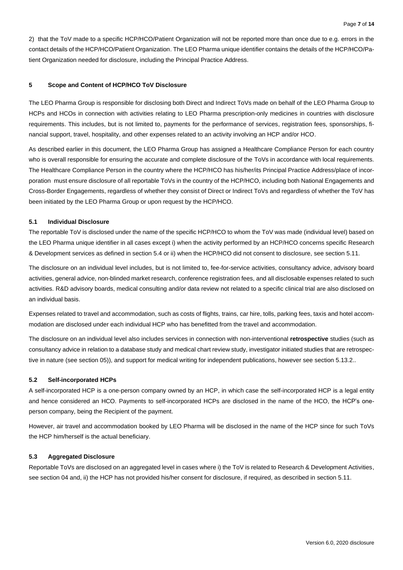2) that the ToV made to a specific HCP/HCO/Patient Organization will not be reported more than once due to e.g. errors in the contact details of the HCP/HCO/Patient Organization. The LEO Pharma unique identifier contains the details of the HCP/HCO/Patient Organization needed for disclosure, including the Principal Practice Address.

# <span id="page-6-0"></span>**5 Scope and Content of HCP/HCO ToV Disclosure**

The LEO Pharma Group is responsible for disclosing both Direct and Indirect ToVs made on behalf of the LEO Pharma Group to HCPs and HCOs in connection with activities relating to LEO Pharma prescription-only medicines in countries with disclosure requirements. This includes, but is not limited to, payments for the performance of services, registration fees, sponsorships, financial support, travel, hospitality, and other expenses related to an activity involving an HCP and/or HCO.

As described earlier in this document, the LEO Pharma Group has assigned a Healthcare Compliance Person for each country who is overall responsible for ensuring the accurate and complete disclosure of the ToVs in accordance with local requirements. The Healthcare Compliance Person in the country where the HCP/HCO has his/her/its Principal Practice Address/place of incorporation must ensure disclosure of all reportable ToVs in the country of the HCP/HCO, including both National Engagements and Cross-Border Engagements, regardless of whether they consist of Direct or Indirect ToVs and regardless of whether the ToV has been initiated by the LEO Pharma Group or upon request by the HCP/HCO.

#### <span id="page-6-1"></span>**5.1 Individual Disclosure**

The reportable ToV is disclosed under the name of the specific HCP/HCO to whom the ToV was made (individual level) based on the LEO Pharma unique identifier in all cases except i) when the activity performed by an HCP/HCO concerns specific Research & Development services as defined in section 5.4 or ii) when the HCP/HCO did not consent to disclosure, see section 5.11.

The disclosure on an individual level includes, but is not limited to, fee-for-service activities, consultancy advice, advisory board activities, general advice, non-blinded market research, conference registration fees, and all disclosable expenses related to such activities. R&D advisory boards, medical consulting and/or data review not related to a specific clinical trial are also disclosed on an individual basis.

Expenses related to travel and accommodation, such as costs of flights, trains, car hire, tolls, parking fees, taxis and hotel accommodation are disclosed under each individual HCP who has benefitted from the travel and accommodation.

The disclosure on an individual level also includes services in connection with non-interventional **retrospective** studies (such as consultancy advice in relation to a database study and medical chart review study, investigator initiated studies that are retrospective in nature (see sectio[n 05](#page-7-1))), and support for medical writing for independent publications, however see section 5.13.2..

# <span id="page-6-2"></span>**5.2 Self-incorporated HCPs**

A self-incorporated HCP is a one-person company owned by an HCP, in which case the self-incorporated HCP is a legal entity and hence considered an HCO. Payments to self-incorporated HCPs are disclosed in the name of the HCO, the HCP's oneperson company, being the Recipient of the payment.

However, air travel and accommodation booked by LEO Pharma will be disclosed in the name of the HCP since for such ToVs the HCP him/herself is the actual beneficiary.

#### <span id="page-6-3"></span>**5.3 Aggregated Disclosure**

Reportable ToVs are disclosed on an aggregated level in cases where i) the ToV is related to Research & Development Activities, see sectio[n 04](#page-7-0) and, ii) the HCP has not provided his/her consent for disclosure, if required, as described in section 5.11.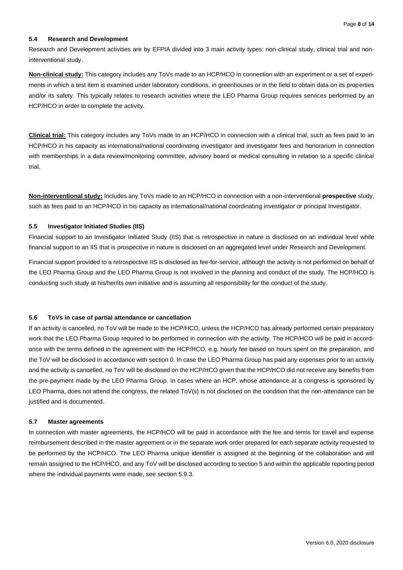#### <span id="page-7-0"></span>**5.4 Research and Development**

Research and Development activities are by EFPIA divided into 3 main activity types: non-clinical study, clinical trial and noninterventional study.

**Non-clinical study:** This category includes any ToVs made to an HCP/HCO in connection with an experiment or a set of experiments in which a test item is examined under laboratory conditions, in greenhouses or in the field to obtain data on its properties and/or its safety. This typically relates to research activities where the LEO Pharma Group requires services performed by an HCP/HCO in order to complete the activity.

**Clinical trial:** This category includes any ToVs made to an HCP/HCO in connection with a clinical trial, such as fees paid to an HCP/HCO in his capacity as international/national coordinating investigator and investigator fees and honorarium in connection with memberships in a data review/monitoring committee, advisory board or medical consulting in relation to a specific clinical trial.

**Non-interventional study:** Includes any ToVs made to an HCP/HCO in connection with a non-interventional **prospective** study, such as fees paid to an HCP/HCO in his capacity as international/national coordinating investigator or principal Investigator.

# <span id="page-7-1"></span>**5.5 Investigator Initiated Studies (IIS)**

Financial support to an Investigator Initiated Study (IIS) that is retrospective in nature is disclosed on an individual level while financial support to an IIS that is prospective in nature is disclosed on an aggregated level under Research and Development.

Financial support provided to a retrospective IIS is disclosed as fee-for-service, although the activity is not performed on behalf of the LEO Pharma Group and the LEO Pharma Group is not involved in the planning and conduct of the study. The HCP/HCO is conducting such study at his/her/its own initiative and is assuming all responsibility for the conduct of the study.

#### <span id="page-7-2"></span>**5.6 ToVs in case of partial attendance or cancellation**

If an activity is cancelled, no ToV will be made to the HCP/HCO, unless the HCP/HCO has already performed certain preparatory work that the LEO Pharma Group required to be performed in connection with the activity. The HCP/HCO will be paid in accordance with the terms defined in the agreement with the HCP/HCO, e.g. hourly fee based on hours spent on the preparation, and the ToV will be disclosed in accordance with section [0.](#page-6-1) In case the LEO Pharma Group has paid any expenses prior to an activity and the activity is cancelled, no ToV will be disclosed on the HCP/HCO given that the HCP/HCO did not receive any benefits from the pre-payment made by the LEO Pharma Group. In cases where an HCP, whose attendance at a congress is sponsored by LEO Pharma, does not attend the congress, the related ToV(s) is not disclosed on the condition that the non-attendance can be justified and is documented.

#### <span id="page-7-3"></span>**5.7 Master agreements**

In connection with master agreements, the HCP/HCO will be paid in accordance with the fee and terms for travel and expense reimbursement described in the master agreement or in the separate work order prepared for each separate activity requested to be performed by the HCP/HCO. The LEO Pharma unique identifier is assigned at the beginning of the collaboration and will remain assigned to the HCP/HCO, and any ToV will be disclosed according to section 5 and within the applicable reporting period where the individual payments were made, see section 5.9.3.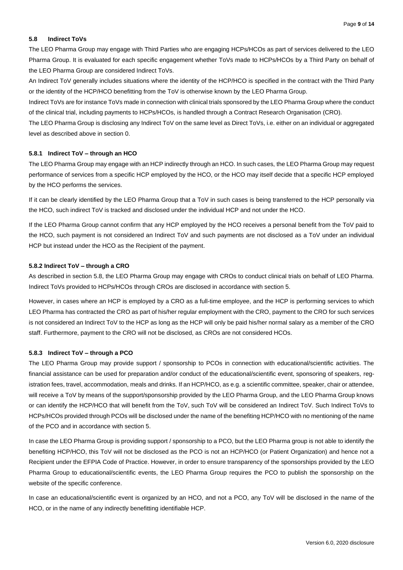# <span id="page-8-0"></span>**5.8 Indirect ToVs**

The LEO Pharma Group may engage with Third Parties who are engaging HCPs/HCOs as part of services delivered to the LEO Pharma Group. It is evaluated for each specific engagement whether ToVs made to HCPs/HCOs by a Third Party on behalf of the LEO Pharma Group are considered Indirect ToVs.

An Indirect ToV generally includes situations where the identity of the HCP/HCO is specified in the contract with the Third Party or the identity of the HCP/HCO benefitting from the ToV is otherwise known by the LEO Pharma Group.

Indirect ToVs are for instance ToVs made in connection with clinical trials sponsored by the LEO Pharma Group where the conduct of the clinical trial, including payments to HCPs/HCOs, is handled through a Contract Research Organisation (CRO).

The LEO Pharma Group is disclosing any Indirect ToV on the same level as Direct ToVs, i.e. either on an individual or aggregated level as described above in sectio[n 0.](#page-6-0)

#### <span id="page-8-1"></span>**5.8.1 Indirect ToV – through an HCO**

The LEO Pharma Group may engage with an HCP indirectly through an HCO. In such cases, the LEO Pharma Group may request performance of services from a specific HCP employed by the HCO, or the HCO may itself decide that a specific HCP employed by the HCO performs the services.

If it can be clearly identified by the LEO Pharma Group that a ToV in such cases is being transferred to the HCP personally via the HCO, such indirect ToV is tracked and disclosed under the individual HCP and not under the HCO.

If the LEO Pharma Group cannot confirm that any HCP employed by the HCO receives a personal benefit from the ToV paid to the HCO, such payment is not considered an Indirect ToV and such payments are not disclosed as a ToV under an individual HCP but instead under the HCO as the Recipient of the payment.

#### <span id="page-8-2"></span>**5.8.2 Indirect ToV – through a CRO**

As described in section 5.8, the LEO Pharma Group may engage with CROs to conduct clinical trials on behalf of LEO Pharma. Indirect ToVs provided to HCPs/HCOs through CROs are disclosed in accordance with section 5.

However, in cases where an HCP is employed by a CRO as a full-time employee, and the HCP is performing services to which LEO Pharma has contracted the CRO as part of his/her regular employment with the CRO, payment to the CRO for such services is not considered an Indirect ToV to the HCP as long as the HCP will only be paid his/her normal salary as a member of the CRO staff. Furthermore, payment to the CRO will not be disclosed, as CROs are not considered HCOs.

# <span id="page-8-3"></span>**5.8.3 Indirect ToV – through a PCO**

The LEO Pharma Group may provide support / sponsorship to PCOs in connection with educational/scientific activities. The financial assistance can be used for preparation and/or conduct of the educational/scientific event, sponsoring of speakers, registration fees, travel, accommodation, meals and drinks. If an HCP/HCO, as e.g. a scientific committee, speaker, chair or attendee, will receive a ToV by means of the support/sponsorship provided by the LEO Pharma Group, and the LEO Pharma Group knows or can identify the HCP/HCO that will benefit from the ToV, such ToV will be considered an Indirect ToV. Such Indirect ToVs to HCPs/HCOs provided through PCOs will be disclosed under the name of the benefiting HCP/HCO with no mentioning of the name of the PCO and in accordance with section 5.

In case the LEO Pharma Group is providing support / sponsorship to a PCO, but the LEO Pharma group is not able to identify the benefiting HCP/HCO, this ToV will not be disclosed as the PCO is not an HCP/HCO (or Patient Organization) and hence not a Recipient under the EFPIA Code of Practice. However, in order to ensure transparency of the sponsorships provided by the LEO Pharma Group to educational/scientific events, the LEO Pharma Group requires the PCO to publish the sponsorship on the website of the specific conference.

In case an educational/scientific event is organized by an HCO, and not a PCO, any ToV will be disclosed in the name of the HCO, or in the name of any indirectly benefitting identifiable HCP.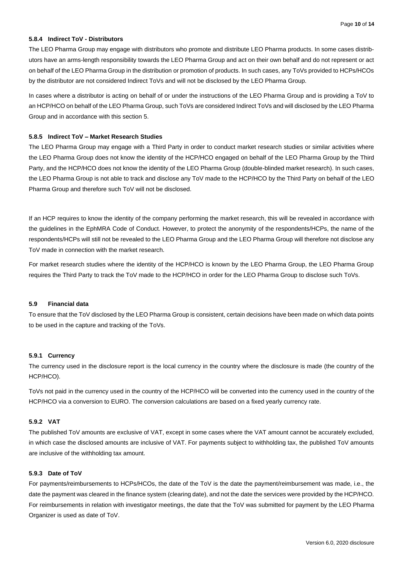# <span id="page-9-0"></span>**5.8.4 Indirect ToV - Distributors**

The LEO Pharma Group may engage with distributors who promote and distribute LEO Pharma products. In some cases distributors have an arms-length responsibility towards the LEO Pharma Group and act on their own behalf and do not represent or act on behalf of the LEO Pharma Group in the distribution or promotion of products. In such cases, any ToVs provided to HCPs/HCOs by the distributor are not considered Indirect ToVs and will not be disclosed by the LEO Pharma Group.

In cases where a distributor is acting on behalf of or under the instructions of the LEO Pharma Group and is providing a ToV to an HCP/HCO on behalf of the LEO Pharma Group, such ToVs are considered Indirect ToVs and will disclosed by the LEO Pharma Group and in accordance with this section 5.

# <span id="page-9-1"></span>**5.8.5 Indirect ToV – Market Research Studies**

The LEO Pharma Group may engage with a Third Party in order to conduct market research studies or similar activities where the LEO Pharma Group does not know the identity of the HCP/HCO engaged on behalf of the LEO Pharma Group by the Third Party, and the HCP/HCO does not know the identity of the LEO Pharma Group (double-blinded market research). In such cases, the LEO Pharma Group is not able to track and disclose any ToV made to the HCP/HCO by the Third Party on behalf of the LEO Pharma Group and therefore such ToV will not be disclosed.

If an HCP requires to know the identity of the company performing the market research, this will be revealed in accordance with the guidelines in the EphMRA Code of Conduct. However, to protect the anonymity of the respondents/HCPs, the name of the respondents/HCPs will still not be revealed to the LEO Pharma Group and the LEO Pharma Group will therefore not disclose any ToV made in connection with the market research.

For market research studies where the identity of the HCP/HCO is known by the LEO Pharma Group, the LEO Pharma Group requires the Third Party to track the ToV made to the HCP/HCO in order for the LEO Pharma Group to disclose such ToVs.

#### <span id="page-9-2"></span>**5.9 Financial data**

To ensure that the ToV disclosed by the LEO Pharma Group is consistent, certain decisions have been made on which data points to be used in the capture and tracking of the ToVs.

#### <span id="page-9-3"></span>**5.9.1 Currency**

The currency used in the disclosure report is the local currency in the country where the disclosure is made (the country of the HCP/HCO).

ToVs not paid in the currency used in the country of the HCP/HCO will be converted into the currency used in the country of the HCP/HCO via a conversion to EURO. The conversion calculations are based on a fixed yearly currency rate.

# <span id="page-9-4"></span>**5.9.2 VAT**

The published ToV amounts are exclusive of VAT, except in some cases where the VAT amount cannot be accurately excluded, in which case the disclosed amounts are inclusive of VAT. For payments subject to withholding tax, the published ToV amounts are inclusive of the withholding tax amount.

# <span id="page-9-5"></span>**5.9.3 Date of ToV**

For payments/reimbursements to HCPs/HCOs, the date of the ToV is the date the payment/reimbursement was made, i.e., the date the payment was cleared in the finance system (clearing date), and not the date the services were provided by the HCP/HCO. For reimbursements in relation with investigator meetings, the date that the ToV was submitted for payment by the LEO Pharma Organizer is used as date of ToV.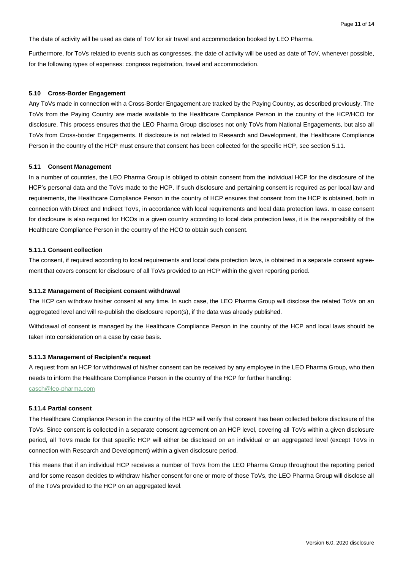The date of activity will be used as date of ToV for air travel and accommodation booked by LEO Pharma.

Furthermore, for ToVs related to events such as congresses, the date of activity will be used as date of ToV, whenever possible, for the following types of expenses: congress registration, travel and accommodation.

#### <span id="page-10-0"></span>**5.10 Cross-Border Engagement**

Any ToVs made in connection with a Cross-Border Engagement are tracked by the Paying Country, as described previously. The ToVs from the Paying Country are made available to the Healthcare Compliance Person in the country of the HCP/HCO for disclosure. This process ensures that the LEO Pharma Group discloses not only ToVs from National Engagements, but also all ToVs from Cross-border Engagements. If disclosure is not related to Research and Development, the Healthcare Compliance Person in the country of the HCP must ensure that consent has been collected for the specific HCP, see section 5.11.

#### <span id="page-10-1"></span>**5.11 Consent Management**

In a number of countries, the LEO Pharma Group is obliged to obtain consent from the individual HCP for the disclosure of the HCP's personal data and the ToVs made to the HCP. If such disclosure and pertaining consent is required as per local law and requirements, the Healthcare Compliance Person in the country of HCP ensures that consent from the HCP is obtained, both in connection with Direct and Indirect ToVs, in accordance with local requirements and local data protection laws. In case consent for disclosure is also required for HCOs in a given country according to local data protection laws, it is the responsibility of the Healthcare Compliance Person in the country of the HCO to obtain such consent.

# <span id="page-10-2"></span>**5.11.1 Consent collection**

The consent, if required according to local requirements and local data protection laws, is obtained in a separate consent agreement that covers consent for disclosure of all ToVs provided to an HCP within the given reporting period.

#### <span id="page-10-3"></span>**5.11.2 Management of Recipient consent withdrawal**

The HCP can withdraw his/her consent at any time. In such case, the LEO Pharma Group will disclose the related ToVs on an aggregated level and will re-publish the disclosure report(s), if the data was already published.

Withdrawal of consent is managed by the Healthcare Compliance Person in the country of the HCP and local laws should be taken into consideration on a case by case basis.

#### <span id="page-10-4"></span>**5.11.3 Management of Recipient's request**

A request from an HCP for withdrawal of his/her consent can be received by any employee in the LEO Pharma Group, who then needs to inform the Healthcare Compliance Person in the country of the HCP for further handling: [casch@leo-pharma.com](mailto:casch@leo-pharma.com)

#### <span id="page-10-5"></span>**5.11.4 Partial consent**

The Healthcare Compliance Person in the country of the HCP will verify that consent has been collected before disclosure of the ToVs. Since consent is collected in a separate consent agreement on an HCP level, covering all ToVs within a given disclosure period, all ToVs made for that specific HCP will either be disclosed on an individual or an aggregated level (except ToVs in connection with Research and Development) within a given disclosure period.

This means that if an individual HCP receives a number of ToVs from the LEO Pharma Group throughout the reporting period and for some reason decides to withdraw his/her consent for one or more of those ToVs, the LEO Pharma Group will disclose all of the ToVs provided to the HCP on an aggregated level.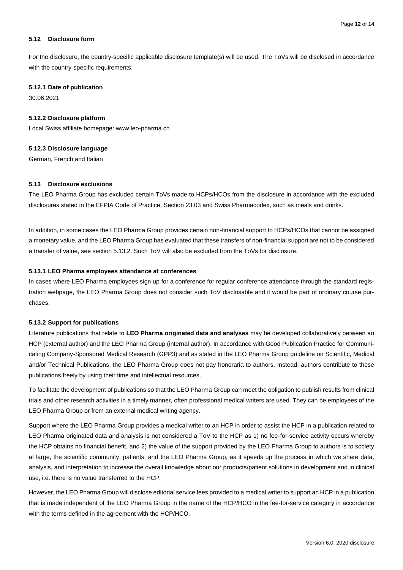#### <span id="page-11-0"></span>**5.12 Disclosure form**

For the disclosure, the country-specific applicable disclosure template(s) will be used. The ToVs will be disclosed in accordance with the country-specific requirements.

#### <span id="page-11-1"></span>**5.12.1 Date of publication**

30.06.2021

#### <span id="page-11-2"></span>**5.12.2 Disclosure platform**

Local Swiss affiliate homepage: www.leo-pharma.ch

#### <span id="page-11-3"></span>**5.12.3 Disclosure language**

German, French and Italian

#### <span id="page-11-4"></span>**5.13 Disclosure exclusions**

The LEO Pharma Group has excluded certain ToVs made to HCPs/HCOs from the disclosure in accordance with the excluded disclosures stated in the EFPIA Code of Practice, Section 23.03 and Swiss Pharmacodex, such as meals and drinks.

In addition, in some cases the LEO Pharma Group provides certain non-financial support to HCPs/HCOs that cannot be assigned a monetary value, and the LEO Pharma Group has evaluated that these transfers of non-financial support are not to be considered a transfer of value, see section 5.13.2. Such ToV will also be excluded from the ToVs for disclosure.

#### <span id="page-11-5"></span>**5.13.1 LEO Pharma employees attendance at conferences**

In cases where LEO Pharma employees sign up for a conference for regular conference attendance through the standard registration webpage, the LEO Pharma Group does not consider such ToV disclosable and it would be part of ordinary course purchases.

#### <span id="page-11-6"></span>**5.13.2 Support for publications**

Literature publications that relate to **LEO Pharma originated data and analyses** may be developed collaboratively between an HCP (external author) and the LEO Pharma Group (internal author). In accordance with Good Publication Practice for Communicating Company-Sponsored Medical Research (GPP3) and as stated in the LEO Pharma Group guideline on Scientific, Medical and/or Technical Publications, the LEO Pharma Group does not pay honoraria to authors. Instead, authors contribute to these publications freely by using their time and intellectual resources.

To facilitate the development of publications so that the LEO Pharma Group can meet the obligation to publish results from clinical trials and other research activities in a timely manner, often professional medical writers are used. They can be employees of the LEO Pharma Group or from an external medical writing agency.

Support where the LEO Pharma Group provides a medical writer to an HCP in order to assist the HCP in a publication related to LEO Pharma originated data and analysis is not considered a ToV to the HCP as 1) no fee-for-service activity occurs whereby the HCP obtains no financial benefit, and 2) the value of the support provided by the LEO Pharma Group to authors is to society at large, the scientific community, patients, and the LEO Pharma Group, as it speeds up the process in which we share data, analysis, and interpretation to increase the overall knowledge about our products/patient solutions in development and in clinical use, i.e. there is no value transferred to the HCP.

However, the LEO Pharma Group will disclose editorial service fees provided to a medical writer to support an HCP in a publication that is made independent of the LEO Pharma Group in the name of the HCP/HCO in the fee-for-service category in accordance with the terms defined in the agreement with the HCP/HCO.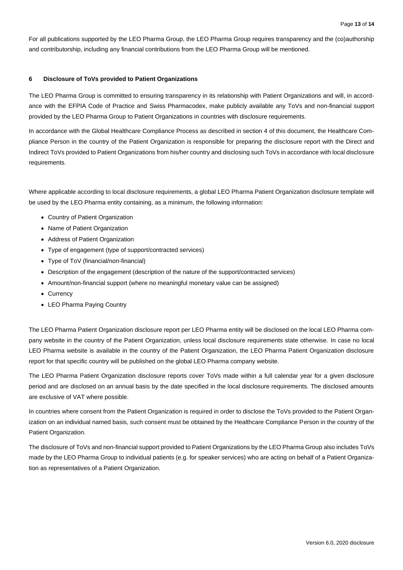For all publications supported by the LEO Pharma Group, the LEO Pharma Group requires transparency and the (co)authorship and contributorship, including any financial contributions from the LEO Pharma Group will be mentioned.

# <span id="page-12-0"></span>**6 Disclosure of ToVs provided to Patient Organizations**

The LEO Pharma Group is committed to ensuring transparency in its relationship with Patient Organizations and will, in accordance with the EFPIA Code of Practice and Swiss Pharmacodex, make publicly available any ToVs and non-financial support provided by the LEO Pharma Group to Patient Organizations in countries with disclosure requirements.

In accordance with the Global Healthcare Compliance Process as described in section 4 of this document, the Healthcare Compliance Person in the country of the Patient Organization is responsible for preparing the disclosure report with the Direct and Indirect ToVs provided to Patient Organizations from his/her country and disclosing such ToVs in accordance with local disclosure requirements.

Where applicable according to local disclosure requirements, a global LEO Pharma Patient Organization disclosure template will be used by the LEO Pharma entity containing, as a minimum, the following information:

- Country of Patient Organization
- Name of Patient Organization
- Address of Patient Organization
- Type of engagement (type of support/contracted services)
- Type of ToV (financial/non-financial)
- Description of the engagement (description of the nature of the support/contracted services)
- Amount/non-financial support (where no meaningful monetary value can be assigned)
- Currency
- LEO Pharma Paying Country

The LEO Pharma Patient Organization disclosure report per LEO Pharma entity will be disclosed on the local LEO Pharma company website in the country of the Patient Organization, unless local disclosure requirements state otherwise. In case no local LEO Pharma website is available in the country of the Patient Organization, the LEO Pharma Patient Organization disclosure report for that specific country will be published on the global LEO Pharma company website.

The LEO Pharma Patient Organization disclosure reports cover ToVs made within a full calendar year for a given disclosure period and are disclosed on an annual basis by the date specified in the local disclosure requirements. The disclosed amounts are exclusive of VAT where possible.

In countries where consent from the Patient Organization is required in order to disclose the ToVs provided to the Patient Organization on an individual named basis, such consent must be obtained by the Healthcare Compliance Person in the country of the Patient Organization.

The disclosure of ToVs and non-financial support provided to Patient Organizations by the LEO Pharma Group also includes ToVs made by the LEO Pharma Group to individual patients (e.g. for speaker services) who are acting on behalf of a Patient Organization as representatives of a Patient Organization.